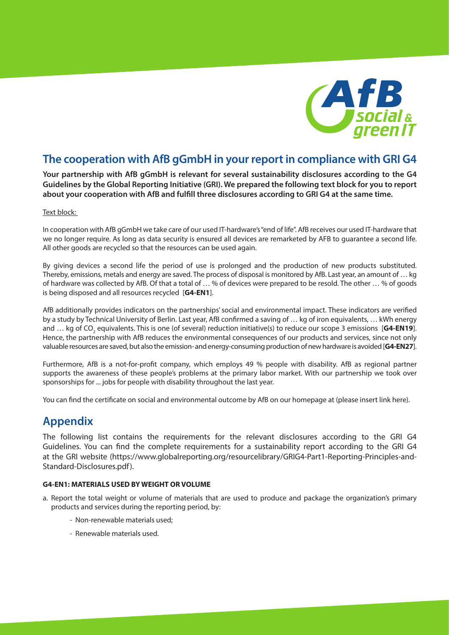

# **The cooperation with AfB gGmbH in your report in compliance with GRI G4**

**Your partnership with AfB gGmbH is relevant for several sustainability disclosures according to the G4 Guidelines by the Global Reporting Initiative (GRI). We prepared the following text block for you to report about your cooperation with AfB and fulfill three disclosures according to GRI G4 at the same time.**

### Text block:

In cooperation with AfB gGmbH we take care of our used IT-hardware's "end of life". AfB receives our used IT-hardware that we no longer require. As long as data security is ensured all devices are remarketed by AFB to guarantee a second life. All other goods are recycled so that the resources can be used again.

By giving devices a second life the period of use is prolonged and the production of new products substituted. Thereby, emissions, metals and energy are saved. The process of disposal is monitored by AfB. Last year, an amount of … kg of hardware was collected by AfB. Of that a total of … % of devices were prepared to be resold. The other … % of goods is being disposed and all resources recycled [**G4-EN1**].

AfB additionally provides indicators on the partnerships' social and environmental impact. These indicators are verified by a study by Technical University of Berlin. Last year, AfB confirmed a saving of … kg of iron equivalents, … kWh energy and … kg of CO<sub>2</sub> equivalents. This is one (of several) reduction initiative(s) to reduce our scope 3 emissions [**G4-EN19**]. Hence, the partnership with AfB reduces the environmental consequences of our products and services, since not only valuable resources are saved, but also the emission- and energy-consuming production of new hardware is avoided [**G4-EN27**].

Furthermore, AfB is a not-for-profit company, which employs 49 % people with disability. AfB as regional partner supports the awareness of these people's problems at the primary labor market. With our partnership we took over sponsorships for ... jobs for people with disability throughout the last year.

You can find the certificate on social and environmental outcome by AfB on our homepage at (please insert link here).

# **Appendix**

The following list contains the requirements for the relevant disclosures according to the GRI G4 Guidelines. You can find the complete requirements for a sustainability report according to the GRI G4 at the GRI website (https://www.globalreporting.org/resourcelibrary/GRIG4-Part1-Reporting-Principles-and-Standard-Disclosures.pdf).

## **G4-EN1: MATERIALS USED BY WEIGHT OR VOLUME**

- a. Report the total weight or volume of materials that are used to produce and package the organization's primary products and services during the reporting period, by:
	- Non-renewable materials used;
	- Renewable materials used.